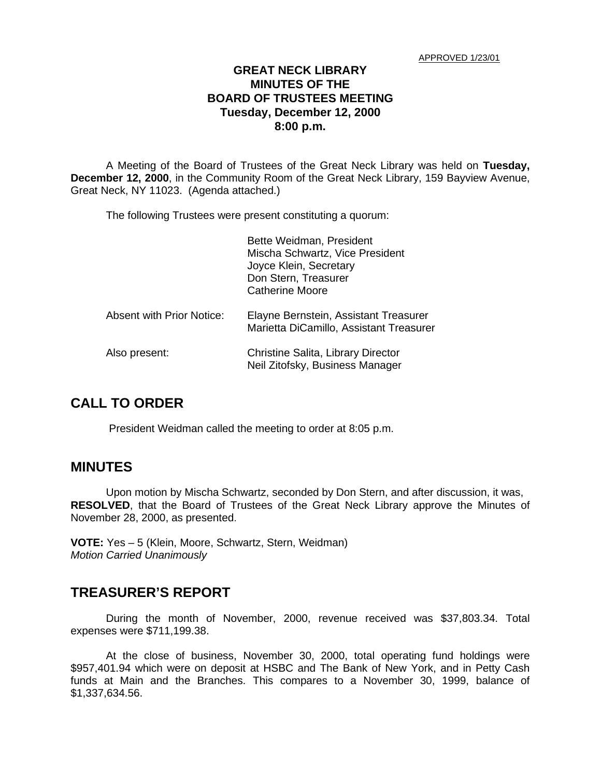#### **GREAT NECK LIBRARY MINUTES OF THE BOARD OF TRUSTEES MEETING Tuesday, December 12, 2000 8:00 p.m.**

A Meeting of the Board of Trustees of the Great Neck Library was held on **Tuesday, December 12, 2000**, in the Community Room of the Great Neck Library, 159 Bayview Avenue, Great Neck, NY 11023. (Agenda attached.)

The following Trustees were present constituting a quorum:

|                                  | Bette Weidman, President<br>Mischa Schwartz, Vice President<br>Joyce Klein, Secretary<br>Don Stern, Treasurer<br><b>Catherine Moore</b> |
|----------------------------------|-----------------------------------------------------------------------------------------------------------------------------------------|
| <b>Absent with Prior Notice:</b> | Elayne Bernstein, Assistant Treasurer<br>Marietta DiCamillo, Assistant Treasurer                                                        |
| Also present:                    | Christine Salita, Library Director<br>Neil Zitofsky, Business Manager                                                                   |

### **CALL TO ORDER**

President Weidman called the meeting to order at 8:05 p.m.

### **MINUTES**

Upon motion by Mischa Schwartz, seconded by Don Stern, and after discussion, it was, **RESOLVED**, that the Board of Trustees of the Great Neck Library approve the Minutes of November 28, 2000, as presented.

**VOTE:** Yes – 5 (Klein, Moore, Schwartz, Stern, Weidman) *Motion Carried Unanimously*

### **TREASURER'S REPORT**

During the month of November, 2000, revenue received was \$37,803.34. Total expenses were \$711,199.38.

At the close of business, November 30, 2000, total operating fund holdings were \$957,401.94 which were on deposit at HSBC and The Bank of New York, and in Petty Cash funds at Main and the Branches. This compares to a November 30, 1999, balance of \$1,337,634.56.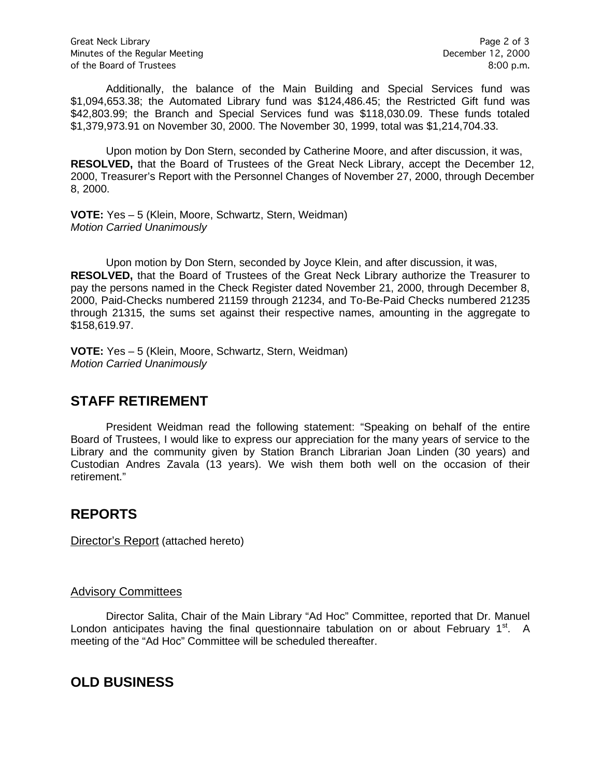Additionally, the balance of the Main Building and Special Services fund was \$1,094,653.38; the Automated Library fund was \$124,486.45; the Restricted Gift fund was \$42,803.99; the Branch and Special Services fund was \$118,030.09. These funds totaled \$1,379,973.91 on November 30, 2000. The November 30, 1999, total was \$1,214,704.33.

Upon motion by Don Stern, seconded by Catherine Moore, and after discussion, it was, **RESOLVED,** that the Board of Trustees of the Great Neck Library, accept the December 12, 2000, Treasurer's Report with the Personnel Changes of November 27, 2000, through December 8, 2000.

**VOTE:** Yes – 5 (Klein, Moore, Schwartz, Stern, Weidman) *Motion Carried Unanimously*

Upon motion by Don Stern, seconded by Joyce Klein, and after discussion, it was, **RESOLVED,** that the Board of Trustees of the Great Neck Library authorize the Treasurer to pay the persons named in the Check Register dated November 21, 2000, through December 8, 2000, Paid-Checks numbered 21159 through 21234, and To-Be-Paid Checks numbered 21235 through 21315, the sums set against their respective names, amounting in the aggregate to \$158,619.97.

**VOTE:** Yes – 5 (Klein, Moore, Schwartz, Stern, Weidman) *Motion Carried Unanimously*

# **STAFF RETIREMENT**

President Weidman read the following statement: "Speaking on behalf of the entire Board of Trustees, I would like to express our appreciation for the many years of service to the Library and the community given by Station Branch Librarian Joan Linden (30 years) and Custodian Andres Zavala (13 years). We wish them both well on the occasion of their retirement."

# **REPORTS**

Director's Report (attached hereto)

#### Advisory Committees

Director Salita, Chair of the Main Library "Ad Hoc" Committee, reported that Dr. Manuel London anticipates having the final questionnaire tabulation on or about February  $1<sup>st</sup>$ . A meeting of the "Ad Hoc" Committee will be scheduled thereafter.

### **OLD BUSINESS**